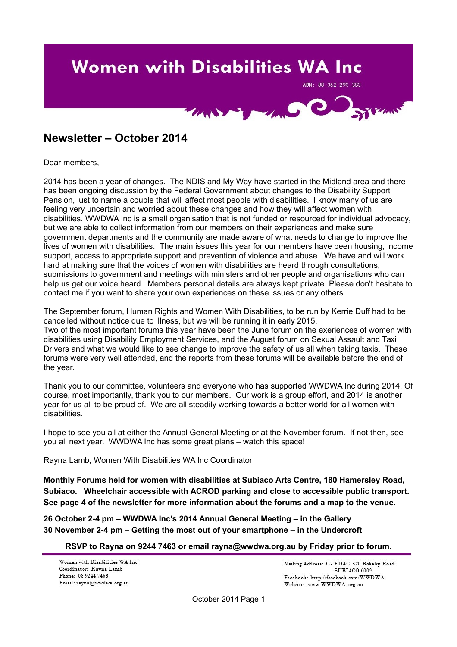# **Women with Disabilities WA Inc**

ABN: 88 362 290 380



# **Newsletter – October 2014**

Dear members,

2014 has been a year of changes. The NDIS and My Way have started in the Midland area and there has been ongoing discussion by the Federal Government about changes to the Disability Support Pension, just to name a couple that will affect most people with disabilities. I know many of us are feeling very uncertain and worried about these changes and how they will affect women with disabilities. WWDWA Inc is a small organisation that is not funded or resourced for individual advocacy, but we are able to collect information from our members on their experiences and make sure government departments and the community are made aware of what needs to change to improve the lives of women with disabilities. The main issues this year for our members have been housing, income support, access to appropriate support and prevention of violence and abuse. We have and will work hard at making sure that the voices of women with disabilities are heard through consultations, submissions to government and meetings with ministers and other people and organisations who can help us get our voice heard. Members personal details are always kept private. Please don't hesitate to contact me if you want to share your own experiences on these issues or any others.

The September forum, Human Rights and Women With Disabilities, to be run by Kerrie Duff had to be cancelled without notice due to illness, but we will be running it in early 2015. Two of the most important forums this year have been the June forum on the exeriences of women with disabilities using Disability Employment Services, and the August forum on Sexual Assault and Taxi Drivers and what we would like to see change to improve the safety of us all when taking taxis. These forums were very well attended, and the reports from these forums will be available before the end of the year.

Thank you to our committee, volunteers and everyone who has supported WWDWA Inc during 2014. Of course, most importantly, thank you to our members. Our work is a group effort, and 2014 is another year for us all to be proud of. We are all steadily working towards a better world for all women with disabilities.

I hope to see you all at either the Annual General Meeting or at the November forum. If not then, see you all next year. WWDWA Inc has some great plans – watch this space!

Rayna Lamb, Women With Disabilities WA Inc Coordinator

**Monthly Forums held for women with disabilities at Subiaco Arts Centre, 180 Hamersley Road, Subiaco. Wheelchair accessible with ACROD parking and close to accessible public transport. See page 4 of the newsletter for more information about the forums and a map to the venue.**

**26 October 2-4 pm – WWDWA Inc's 2014 Annual General Meeting – in the Gallery 30 November 2-4 pm – Getting the most out of your smartphone – in the Undercroft**

**RSVP to Rayna on 9244 7463 or email rayna@wwdwa.org.au by Friday prior to forum.**

Women with Disabilities WA Inc. Coordinator: Rayna Lamb Phone: 08 9244 7463 Email: rayna@wwdwa.org.au

Mailing Address: C/- EDAC 320 Rokeby Road **SUBIACO 6009**  ${\tt Facebook:~http://facebook.com/WWDWA}$ Website: www.WWDWA.org.au

October 2014 Page 1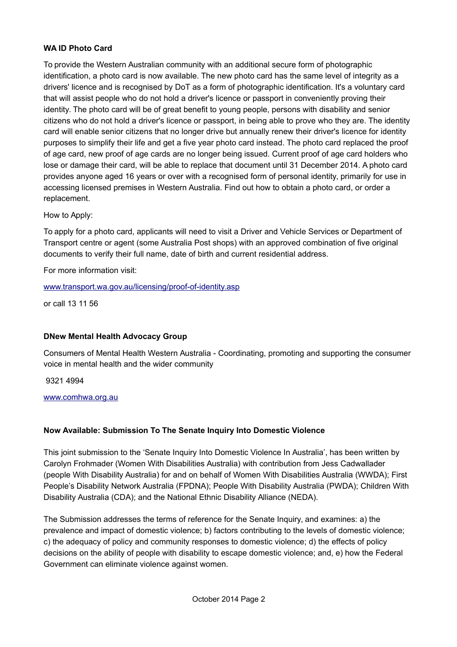### **WA ID Photo Card**

To provide the Western Australian community with an additional secure form of photographic identification, a photo card is now available. The new photo card has the same level of integrity as a drivers' licence and is recognised by DoT as a form of photographic identification. It's a voluntary card that will assist people who do not hold a driver's licence or passport in conveniently proving their identity. The photo card will be of great benefit to young people, persons with disability and senior citizens who do not hold a driver's licence or passport, in being able to prove who they are. The identity card will enable senior citizens that no longer drive but annually renew their driver's licence for identity purposes to simplify their life and get a five year photo card instead. The photo card replaced the proof of age card, new proof of age cards are no longer being issued. Current proof of age card holders who lose or damage their card, will be able to replace that document until 31 December 2014. A photo card provides anyone aged 16 years or over with a recognised form of personal identity, primarily for use in accessing licensed premises in Western Australia. Find out how to obtain a photo card, or order a replacement.

How to Apply:

To apply for a photo card, applicants will need to visit a Driver and Vehicle Services or Department of Transport centre or agent (some Australia Post shops) with an approved combination of five original documents to verify their full name, date of birth and current residential address.

For more information visit:

### [www.transport.wa.gov.au/licensing/proof-of-identity.asp](http://www.transport.wa.gov.au/licensing/proof-of-identity.asp)

or call 13 11 56

# **DNew Mental Health Advocacy Group**

Consumers of Mental Health Western Australia - Coordinating, promoting and supporting the consumer voice in mental health and the wider community

9321 4994

### [www.comhwa.org.au](http://www.comhwa.org.au/)

# **Now Available: Submission To The Senate Inquiry Into Domestic Violence**

This joint submission to the 'Senate Inquiry Into Domestic Violence In Australia', has been written by Carolyn Frohmader (Women With Disabilities Australia) with contribution from Jess Cadwallader (people With Disability Australia) for and on behalf of Women With Disabilities Australia (WWDA); First People's Disability Network Australia (FPDNA); People With Disability Australia (PWDA); Children With Disability Australia (CDA); and the National Ethnic Disability Alliance (NEDA).

The Submission addresses the terms of reference for the Senate Inquiry, and examines: a) the prevalence and impact of domestic violence; b) factors contributing to the levels of domestic violence; c) the adequacy of policy and community responses to domestic violence; d) the effects of policy decisions on the ability of people with disability to escape domestic violence; and, e) how the Federal Government can eliminate violence against women.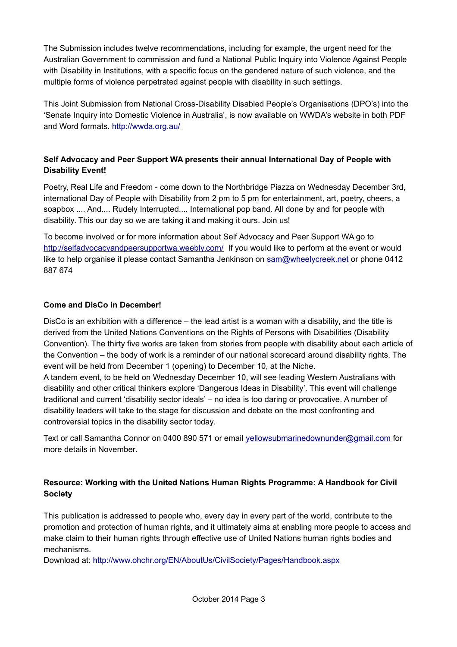The Submission includes twelve recommendations, including for example, the urgent need for the Australian Government to commission and fund a National Public Inquiry into Violence Against People with Disability in Institutions, with a specific focus on the gendered nature of such violence, and the multiple forms of violence perpetrated against people with disability in such settings.

This Joint Submission from National Cross-Disability Disabled People's Organisations (DPO's) into the 'Senate Inquiry into Domestic Violence in Australia', is now available on WWDA's website in both PDF and Word formats.<http://wwda.org.au/>

# **Self Advocacy and Peer Support WA presents their annual International Day of People with Disability Event!**

Poetry, Real Life and Freedom - come down to the Northbridge Piazza on Wednesday December 3rd, international Day of People with Disability from 2 pm to 5 pm for entertainment, art, poetry, cheers, a soapbox .... And.... Rudely Interrupted.... International pop band. All done by and for people with disability. This our day so we are taking it and making it ours. Join us!

To become involved or for more information about Self Advocacy and Peer Support WA go to <http://selfadvocacyandpeersupportwa.weebly.com/>If you would like to perform at the event or would like to help organise it please contact Samantha Jenkinson on [sam@wheelycreek.net](mailto:sam@wheelycreek.net) or phone 0412 887 674

## **Come and DisCo in December!**

DisCo is an exhibition with a difference – the lead artist is a woman with a disability, and the title is derived from the United Nations Conventions on the Rights of Persons with Disabilities (Disability Convention). The thirty five works are taken from stories from people with disability about each article of the Convention – the body of work is a reminder of our national scorecard around disability rights. The event will be held from December 1 (opening) to December 10, at the Niche.

A tandem event, to be held on Wednesday December 10, will see leading Western Australians with disability and other critical thinkers explore 'Dangerous Ideas in Disability'. This event will challenge traditional and current 'disability sector ideals' – no idea is too daring or provocative. A number of disability leaders will take to the stage for discussion and debate on the most confronting and controversial topics in the disability sector today.

Text or call Samantha Connor on 0400 890 571 or email [yellowsubmarinedownunder@gmail.com](mailto:yellowsubmarinedownunder@gmail.com) for more details in November.

# **Resource: Working with the United Nations Human Rights Programme: A Handbook for Civil Society**

This publication is addressed to people who, every day in every part of the world, contribute to the promotion and protection of human rights, and it ultimately aims at enabling more people to access and make claim to their human rights through effective use of United Nations human rights bodies and mechanisms.

Download at:<http://www.ohchr.org/EN/AboutUs/CivilSociety/Pages/Handbook.aspx>